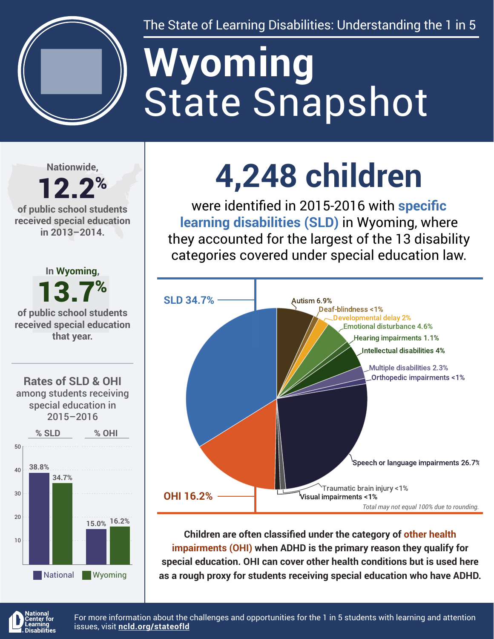

The State of Learning Disabilities: Understanding the 1 in 5

# State Snapshot **Wyoming**

**Nationwide,**

# 12.2% **of public school students**

**received special education in 2013–2014.**



**4,248 children**

were identified in 2015-2016 with **specific learning disabilities (SLD)** in Wyoming, where they accounted for the largest of the 13 disability categories covered under special education law.



**Children are often classified under the category of other health impairments (OHI) when ADHD is the primary reason they qualify for special education. OHI can cover other health conditions but is used here as a rough proxy for students receiving special education who have ADHD.**



For more information about the challenges and opportunities for the 1 in 5 students with learning and attention issues, visit **[ncld.org/stateofld](http://ncld.org/stateofld)**